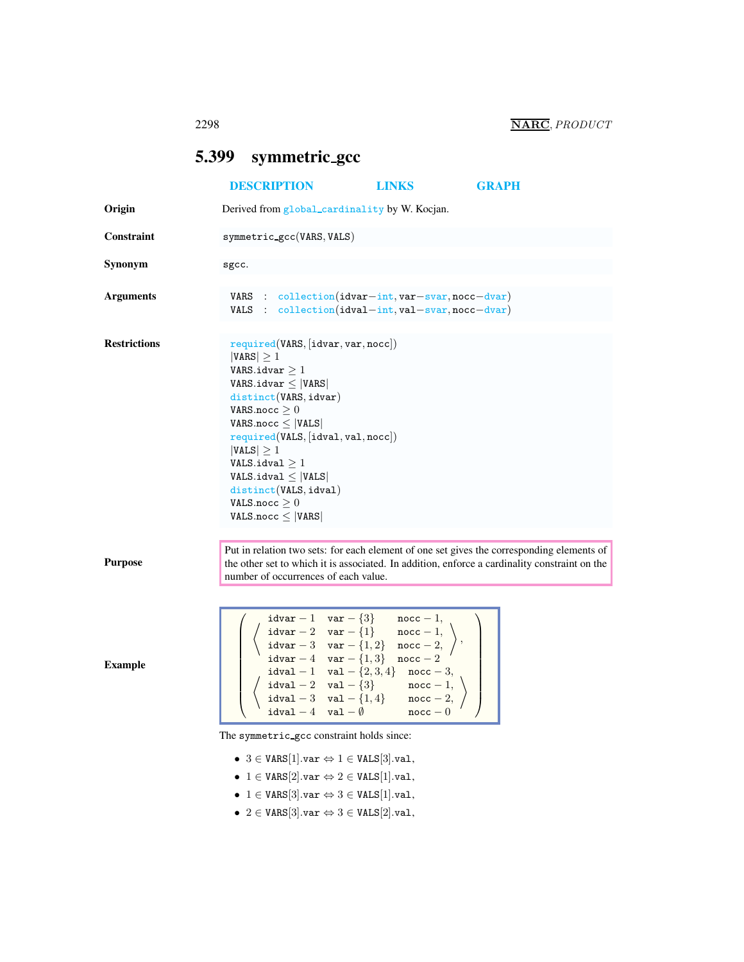## <span id="page-0-0"></span>5.399 symmetric gcc

|                     | <b>DESCRIPTION</b>                                                                                                                                                                                                                                                                                                                                                                                                                                                                                                                     | <b>LINKS</b>                               | <b>GRAPH</b> |
|---------------------|----------------------------------------------------------------------------------------------------------------------------------------------------------------------------------------------------------------------------------------------------------------------------------------------------------------------------------------------------------------------------------------------------------------------------------------------------------------------------------------------------------------------------------------|--------------------------------------------|--------------|
| Origin              | Derived from global_cardinality by W. Kocjan.                                                                                                                                                                                                                                                                                                                                                                                                                                                                                          |                                            |              |
| <b>Constraint</b>   | $symmetric\_gcc(VARS, VALS)$                                                                                                                                                                                                                                                                                                                                                                                                                                                                                                           |                                            |              |
| Synonym             | sgcc.                                                                                                                                                                                                                                                                                                                                                                                                                                                                                                                                  |                                            |              |
| <b>Arguments</b>    | VARS : $\text{collection}(i\text{dvar}-\text{int}, \text{var}-\text{svar}, \text{noc}-\text{dvar})$<br>VALS : $collection(idval-int,val-svar,nocc-dvar)$                                                                                                                                                                                                                                                                                                                                                                               |                                            |              |
| <b>Restrictions</b> | required(VARS, [idvar, var, nocc])<br>$ VARS  \geq 1$<br>VARS.idvar $\geq 1$<br>VARS.idvar $\leq$  VARS <br>distinct(VARS, idvar)<br>VARS.nocc $\geq 0$<br>VARS.nocc $\leq$  VALS <br>required(VALS, [idval, val,nocc])<br>$ VALS  \geq 1$<br>VALS.idval $\geq 1$<br>$VALS$ .idval $\leq$  VALS <br>distinct(VALS, idval)<br>VALS.nocc $\geq 0$<br>$VALS.noc \leq  VARS $                                                                                                                                                              |                                            |              |
| <b>Purpose</b>      | Put in relation two sets: for each element of one set gives the corresponding elements of<br>the other set to which it is associated. In addition, enforce a cardinality constraint on the<br>number of occurrences of each value.                                                                                                                                                                                                                                                                                                     |                                            |              |
| <b>Example</b>      | $i$ dvar - 1 var - $\{3\}$<br>$\begin{tabular}{ll} \texttt{idxar} - 2 & \texttt{var} - \{1\} & \texttt{nocc} - 1, \\ \texttt{idxar} - 3 & \texttt{var} - \{1,2\} & \texttt{nocc} - 2, \\ \texttt{idxar} - 4 & \texttt{var} - \{1,3\} & \texttt{nocc} - 2 \end{tabular}$<br>$\mathtt{idval}-1 \quad \mathtt{val}-\{2,3,4\} \quad \mathtt{noc}-3,$<br>$\texttt{idval} - 2 \quad \texttt{val} - \{3\}$ $\qquad \texttt{nocc} - 1,$<br>$\mathtt{idval}-3 \quad \mathtt{val}-\{1,4\} \qquad \mathtt{noc}-2,$<br>$idval - 4 val - \emptyset$ | $\texttt{noc} - 1$ ,<br>$\texttt{noc} - 0$ |              |
|                     | The symmetric gcc constraint holds since:<br>• 3 $\in$ VARS[1].var $\Leftrightarrow$ 1 $\in$ VALS[3].val,<br>• $1 \in \text{VARS}[2].\text{var} \Leftrightarrow 2 \in \text{VALS}[1].\text{val},$<br>• $1 \in \text{VARS}[3].\text{var} \Leftrightarrow 3 \in \text{VALS}[1].\text{val},$<br>• 2 $\in$ VARS[3].var $\Leftrightarrow$ 3 $\in$ VALS[2].val,                                                                                                                                                                              |                                            |              |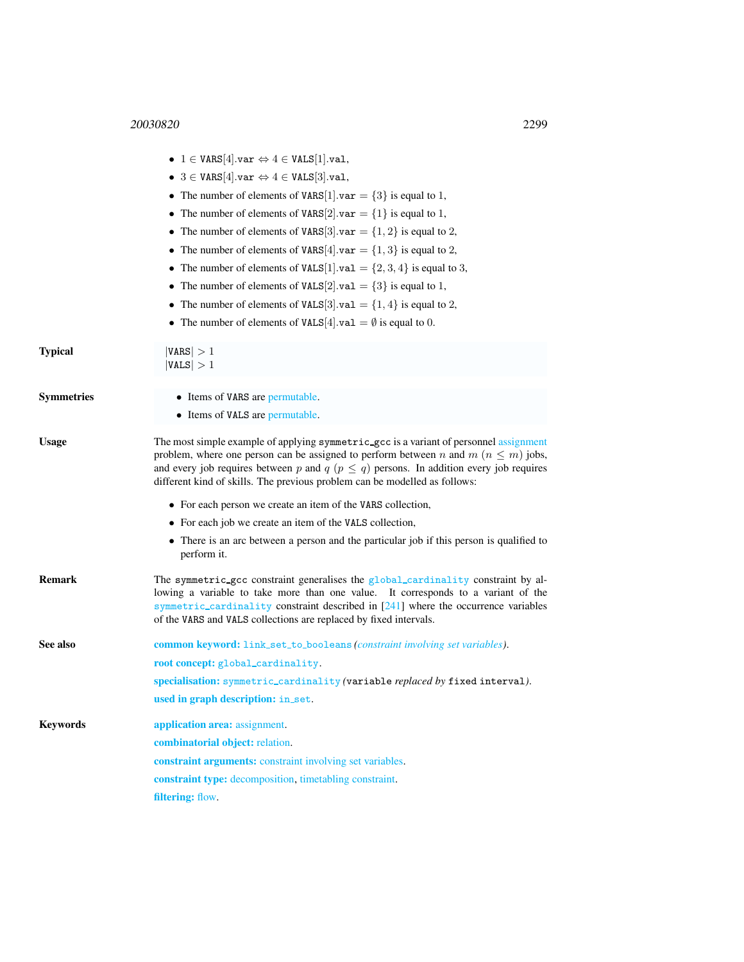<span id="page-1-0"></span>

|                   | • $1 \in \text{VARS}[4].\text{var} \Leftrightarrow 4 \in \text{VALS}[1].\text{val},$                                                                                                                                                                                                                                                                              |  |  |
|-------------------|-------------------------------------------------------------------------------------------------------------------------------------------------------------------------------------------------------------------------------------------------------------------------------------------------------------------------------------------------------------------|--|--|
|                   | • 3 $\in$ VARS[4].var $\Leftrightarrow$ 4 $\in$ VALS[3].val,                                                                                                                                                                                                                                                                                                      |  |  |
|                   | • The number of elements of VARS[1].var = $\{3\}$ is equal to 1,                                                                                                                                                                                                                                                                                                  |  |  |
|                   | • The number of elements of VARS[2].var = $\{1\}$ is equal to 1,                                                                                                                                                                                                                                                                                                  |  |  |
|                   | • The number of elements of VARS[3] var = $\{1, 2\}$ is equal to 2,                                                                                                                                                                                                                                                                                               |  |  |
|                   | • The number of elements of VARS[4].var = $\{1,3\}$ is equal to 2,                                                                                                                                                                                                                                                                                                |  |  |
|                   | • The number of elements of VALS[1].val = $\{2, 3, 4\}$ is equal to 3,                                                                                                                                                                                                                                                                                            |  |  |
|                   | • The number of elements of VALS[2] val = $\{3\}$ is equal to 1,                                                                                                                                                                                                                                                                                                  |  |  |
|                   | • The number of elements of VALS[3] val = $\{1, 4\}$ is equal to 2,                                                                                                                                                                                                                                                                                               |  |  |
|                   | • The number of elements of VALS[4] val = $\emptyset$ is equal to 0.                                                                                                                                                                                                                                                                                              |  |  |
| Typical           | $ {\tt VARS}  > 1$<br> VALS  > 1                                                                                                                                                                                                                                                                                                                                  |  |  |
| <b>Symmetries</b> | • Items of VARS are permutable.                                                                                                                                                                                                                                                                                                                                   |  |  |
|                   | • Items of VALS are permutable.                                                                                                                                                                                                                                                                                                                                   |  |  |
| Usage             | The most simple example of applying symmetric_gcc is a variant of personnel assignment<br>problem, where one person can be assigned to perform between n and $m (n \le m)$ jobs,<br>and every job requires between p and $q$ ( $p \leq q$ ) persons. In addition every job requires<br>different kind of skills. The previous problem can be modelled as follows: |  |  |
|                   | • For each person we create an item of the VARS collection,                                                                                                                                                                                                                                                                                                       |  |  |
|                   | • For each job we create an item of the VALS collection,                                                                                                                                                                                                                                                                                                          |  |  |
|                   | • There is an arc between a person and the particular job if this person is qualified to<br>perform it.                                                                                                                                                                                                                                                           |  |  |
| Remark            | The symmetric_gcc constraint generalises the global_cardinality constraint by al-<br>lowing a variable to take more than one value. It corresponds to a variant of the<br>symmetric_cardinality constraint described in [241] where the occurrence variables<br>of the VARS and VALS collections are replaced by fixed intervals.                                 |  |  |
| See also          | <b>common keyword:</b> link_set_to_booleans (constraint involving set variables).                                                                                                                                                                                                                                                                                 |  |  |
|                   | root concept: global_cardinality.                                                                                                                                                                                                                                                                                                                                 |  |  |
|                   | specialisation: symmetric_cardinality (variable replaced by fixed interval).                                                                                                                                                                                                                                                                                      |  |  |
|                   | used in graph description: in_set.                                                                                                                                                                                                                                                                                                                                |  |  |
| Keywords          | application area: assignment.                                                                                                                                                                                                                                                                                                                                     |  |  |
|                   | combinatorial object: relation.                                                                                                                                                                                                                                                                                                                                   |  |  |
|                   | constraint arguments: constraint involving set variables.                                                                                                                                                                                                                                                                                                         |  |  |
|                   | constraint type: decomposition, timetabling constraint.                                                                                                                                                                                                                                                                                                           |  |  |
|                   | filtering: flow.                                                                                                                                                                                                                                                                                                                                                  |  |  |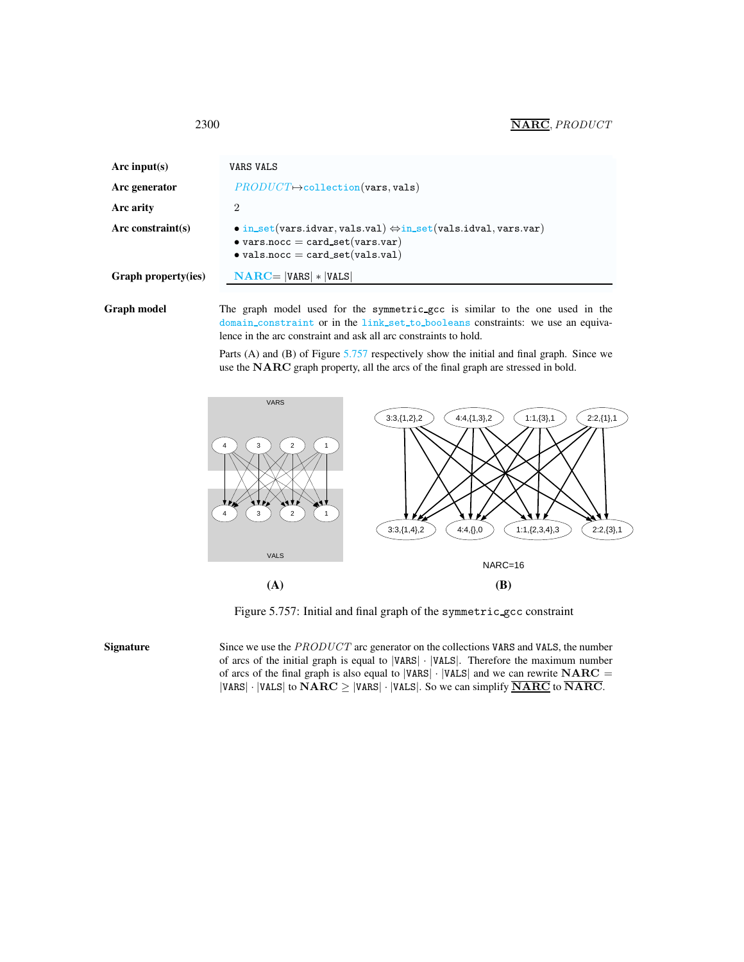| Arc input(s)        | VARS VALS                                                                                                                                                                     |
|---------------------|-------------------------------------------------------------------------------------------------------------------------------------------------------------------------------|
| Arc generator       | $PRODUCT \rightarrow collection(vars, vals)$                                                                                                                                  |
| Arc arity           | 2                                                                                                                                                                             |
| Arc constraint(s)   | $\bullet$ in_set(vars.idvar, vals.val) $\Leftrightarrow$ in_set(vals.idval, vars.var)<br>$\bullet$ vars.nocc = card_set(vars.var)<br>$\bullet$ vals.nocc = card_set(vals.val) |
| Graph property(ies) | $NARC =  VARS  *  VALS $                                                                                                                                                      |

Graph model The graph model used for the symmetric\_gcc is similar to the one used in the domain\_constraint or in the link\_set\_to\_booleans constraints: we use an equivalence in the arc constraint and ask all arc constraints to hold.

> Parts (A) and (B) of Figure [5.757](#page-2-1) respectively show the initial and final graph. Since we use the NARC graph property, all the arcs of the final graph are stressed in bold.



<span id="page-2-1"></span>Figure 5.757: Initial and final graph of the symmetric gcc constraint

Signature Since we use the PRODUCT arc generator on the collections VARS and VALS, the number of arcs of the initial graph is equal to |VARS| · |VALS|. Therefore the maximum number of arcs of the final graph is also equal to  $|VARS| \cdot |VALS|$  and we can rewrite  $NARC =$ |VARS| · |VALS| to  $NARC \geq$  |VARS| · |VALS|. So we can simplify  $\overline{NARC}$  to  $\overline{NARC}$ .

<span id="page-2-0"></span>